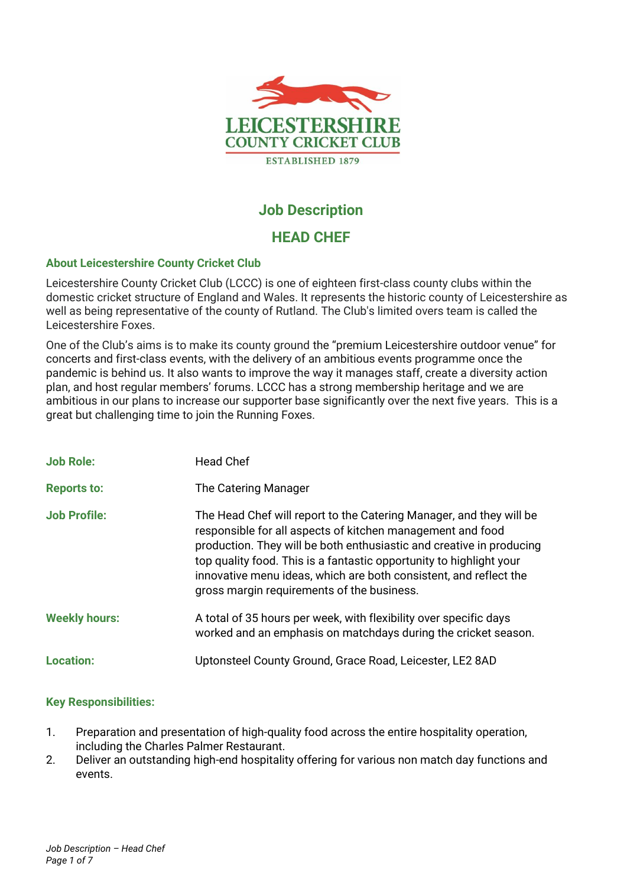

# **Job Description**

# **HEAD CHEF**

# **About Leicestershire County Cricket Club**

Leicestershire County Cricket Club (LCCC) is one of eighteen first-class county clubs within the domestic cricket structure of England and Wales. It represents the historic county of Leicestershire as well as being representative of the county of Rutland. The Club's limited overs team is called the Leicestershire Foxes.

One of the Club's aims is to make its county ground the "premium Leicestershire outdoor venue" for concerts and first-class events, with the delivery of an ambitious events programme once the pandemic is behind us. It also wants to improve the way it manages staff, create a diversity action plan, and host regular members' forums. LCCC has a strong membership heritage and we are ambitious in our plans to increase our supporter base significantly over the next five years. This is a great but challenging time to join the Running Foxes.

| <b>Job Role:</b>     | <b>Head Chef</b>                                                                                                                                                                                                                                                                                                                                                                                    |
|----------------------|-----------------------------------------------------------------------------------------------------------------------------------------------------------------------------------------------------------------------------------------------------------------------------------------------------------------------------------------------------------------------------------------------------|
| <b>Reports to:</b>   | The Catering Manager                                                                                                                                                                                                                                                                                                                                                                                |
| <b>Job Profile:</b>  | The Head Chef will report to the Catering Manager, and they will be<br>responsible for all aspects of kitchen management and food<br>production. They will be both enthusiastic and creative in producing<br>top quality food. This is a fantastic opportunity to highlight your<br>innovative menu ideas, which are both consistent, and reflect the<br>gross margin requirements of the business. |
| <b>Weekly hours:</b> | A total of 35 hours per week, with flexibility over specific days<br>worked and an emphasis on matchdays during the cricket season.                                                                                                                                                                                                                                                                 |
| <b>Location:</b>     | Uptonsteel County Ground, Grace Road, Leicester, LE2 8AD                                                                                                                                                                                                                                                                                                                                            |

# **Key Responsibilities:**

- 1. Preparation and presentation of high-quality food across the entire hospitality operation, including the Charles Palmer Restaurant.
- 2. Deliver an outstanding high-end hospitality offering for various non match day functions and events.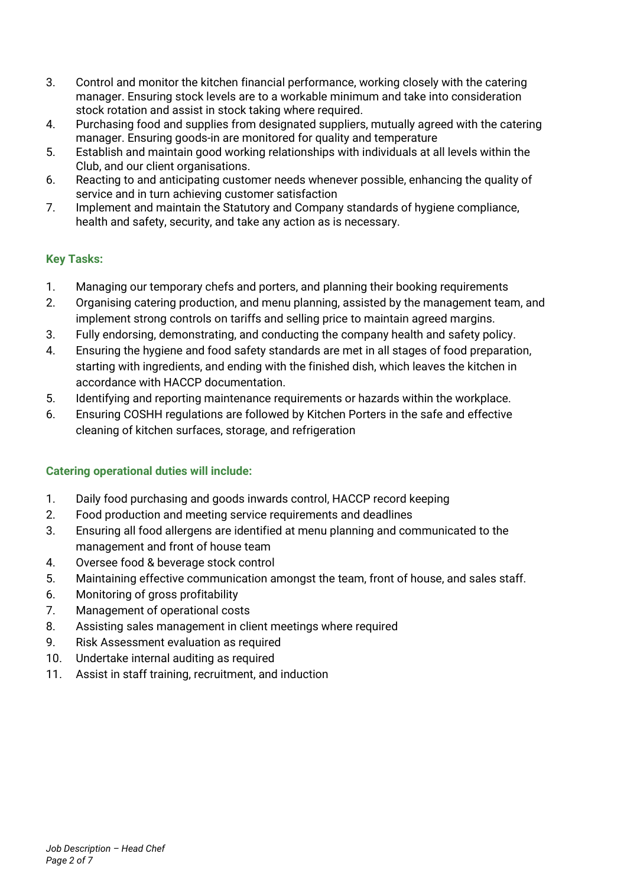- 3. Control and monitor the kitchen financial performance, working closely with the catering manager. Ensuring stock levels are to a workable minimum and take into consideration stock rotation and assist in stock taking where required.
- 4. Purchasing food and supplies from designated suppliers, mutually agreed with the catering manager. Ensuring goods-in are monitored for quality and temperature
- 5. Establish and maintain good working relationships with individuals at all levels within the Club, and our client organisations.
- 6. Reacting to and anticipating customer needs whenever possible, enhancing the quality of service and in turn achieving customer satisfaction
- 7. Implement and maintain the Statutory and Company standards of hygiene compliance, health and safety, security, and take any action as is necessary.

# **Key Tasks:**

- 1. Managing our temporary chefs and porters, and planning their booking requirements
- 2. Organising catering production, and menu planning, assisted by the management team, and implement strong controls on tariffs and selling price to maintain agreed margins.
- 3. Fully endorsing, demonstrating, and conducting the company health and safety policy.
- 4. Ensuring the hygiene and food safety standards are met in all stages of food preparation, starting with ingredients, and ending with the finished dish, which leaves the kitchen in accordance with HACCP documentation.
- 5. Identifying and reporting maintenance requirements or hazards within the workplace.
- 6. Ensuring COSHH regulations are followed by Kitchen Porters in the safe and effective cleaning of kitchen surfaces, storage, and refrigeration

# **Catering operational duties will include:**

- 1. Daily food purchasing and goods inwards control, HACCP record keeping
- 2. Food production and meeting service requirements and deadlines
- 3. Ensuring all food allergens are identified at menu planning and communicated to the management and front of house team
- 4. Oversee food & beverage stock control
- 5. Maintaining effective communication amongst the team, front of house, and sales staff.
- 6. Monitoring of gross profitability
- 7. Management of operational costs
- 8. Assisting sales management in client meetings where required
- 9. Risk Assessment evaluation as required
- 10. Undertake internal auditing as required
- 11. Assist in staff training, recruitment, and induction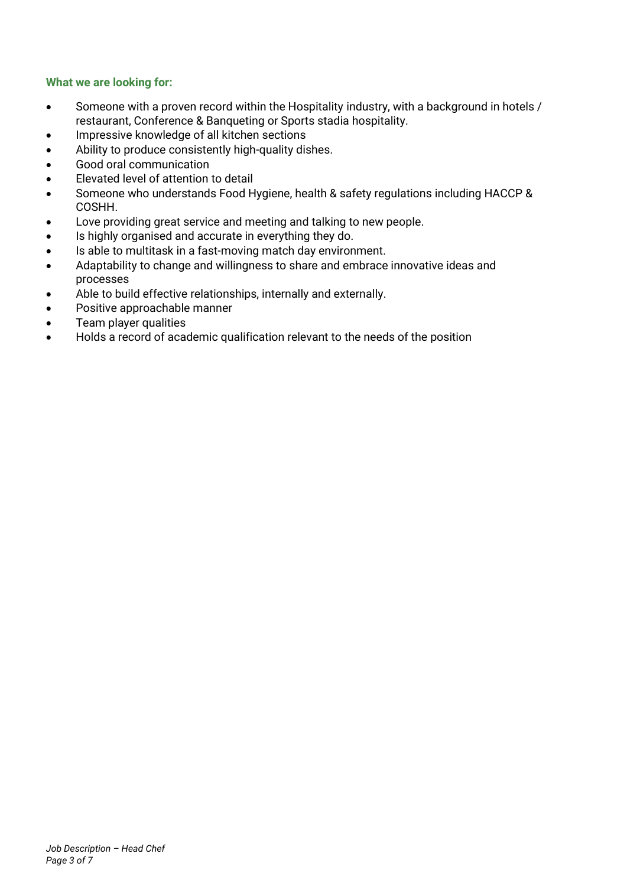## **What we are looking for:**

- Someone with a proven record within the Hospitality industry, with a background in hotels / restaurant, Conference & Banqueting or Sports stadia hospitality.
- Impressive knowledge of all kitchen sections
- Ability to produce consistently high-quality dishes.
- Good oral communication
- Elevated level of attention to detail
- Someone who understands Food Hygiene, health & safety regulations including HACCP & COSHH.
- Love providing great service and meeting and talking to new people.
- Is highly organised and accurate in everything they do.
- Is able to multitask in a fast-moving match day environment.
- Adaptability to change and willingness to share and embrace innovative ideas and processes
- Able to build effective relationships, internally and externally.
- Positive approachable manner
- Team player qualities
- Holds a record of academic qualification relevant to the needs of the position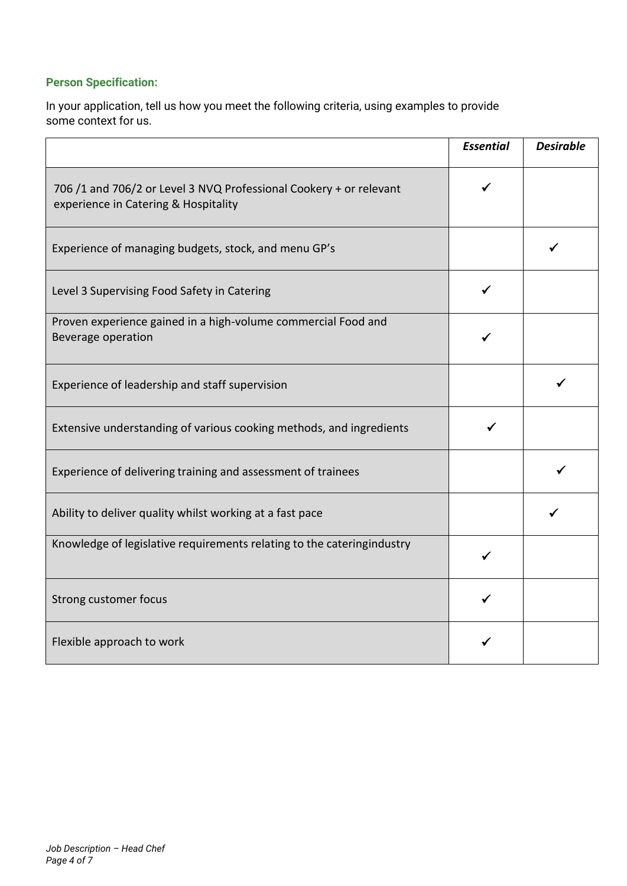# **Person Specification:**

In your application, tell us how you meet the following criteria, using examples to provide some context for us.

|                                                                                                            | <b>Essential</b> | <b>Desirable</b> |
|------------------------------------------------------------------------------------------------------------|------------------|------------------|
| 706 /1 and 706/2 or Level 3 NVQ Professional Cookery + or relevant<br>experience in Catering & Hospitality |                  |                  |
| Experience of managing budgets, stock, and menu GP's                                                       |                  |                  |
| Level 3 Supervising Food Safety in Catering                                                                |                  |                  |
| Proven experience gained in a high-volume commercial Food and<br>Beverage operation                        |                  |                  |
| Experience of leadership and staff supervision                                                             |                  |                  |
| Extensive understanding of various cooking methods, and ingredients                                        |                  |                  |
| Experience of delivering training and assessment of trainees                                               |                  |                  |
| Ability to deliver quality whilst working at a fast pace                                                   |                  |                  |
| Knowledge of legislative requirements relating to the cateringindustry                                     |                  |                  |
| Strong customer focus                                                                                      |                  |                  |
| Flexible approach to work                                                                                  |                  |                  |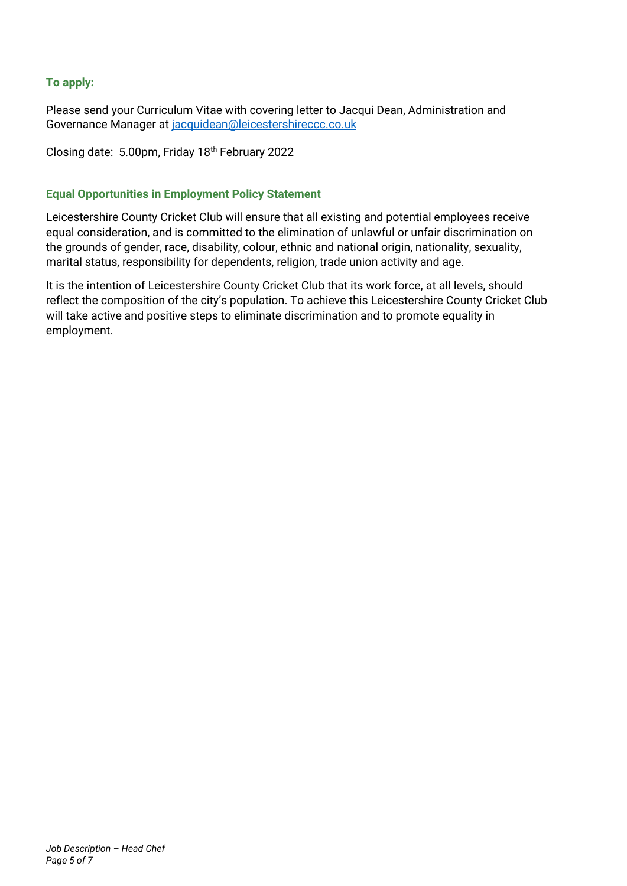## **To apply:**

Please send your Curriculum Vitae with covering letter to Jacqui Dean, Administration and Governance Manager at [jacquidean@leicestershireccc.co.uk](mailto:jacquidean@leicestershireccc.co.uk)

Closing date: 5.00pm, Friday 18th February 2022

# **Equal Opportunities in Employment Policy Statement**

Leicestershire County Cricket Club will ensure that all existing and potential employees receive equal consideration, and is committed to the elimination of unlawful or unfair discrimination on the grounds of gender, race, disability, colour, ethnic and national origin, nationality, sexuality, marital status, responsibility for dependents, religion, trade union activity and age.

It is the intention of Leicestershire County Cricket Club that its work force, at all levels, should reflect the composition of the city's population. To achieve this Leicestershire County Cricket Club will take active and positive steps to eliminate discrimination and to promote equality in employment.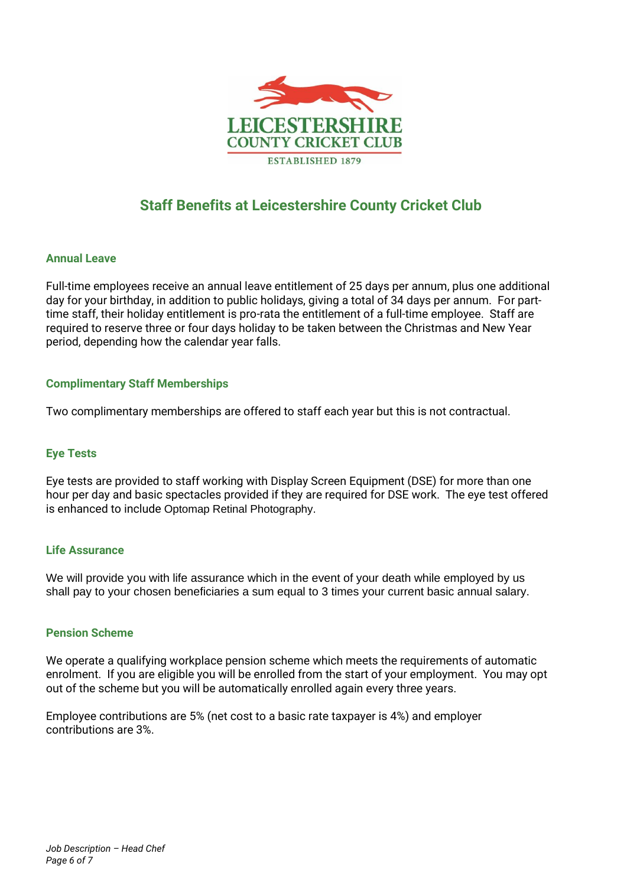

# **Staff Benefits at Leicestershire County Cricket Club**

## **Annual Leave**

Full-time employees receive an annual leave entitlement of 25 days per annum, plus one additional day for your birthday, in addition to public holidays, giving a total of 34 days per annum. For parttime staff, their holiday entitlement is pro-rata the entitlement of a full-time employee. Staff are required to reserve three or four days holiday to be taken between the Christmas and New Year period, depending how the calendar year falls.

## **Complimentary Staff Memberships**

Two complimentary memberships are offered to staff each year but this is not contractual.

### **Eye Tests**

Eye tests are provided to staff working with Display Screen Equipment (DSE) for more than one hour per day and basic spectacles provided if they are required for DSE work. The eye test offered is enhanced to include Optomap Retinal Photography.

### **Life Assurance**

We will provide you with life assurance which in the event of your death while employed by us shall pay to your chosen beneficiaries a sum equal to 3 times your current basic annual salary.

### **Pension Scheme**

We operate a qualifying workplace pension scheme which meets the requirements of automatic enrolment. If you are eligible you will be enrolled from the start of your employment. You may opt out of the scheme but you will be automatically enrolled again every three years.

Employee contributions are 5% (net cost to a basic rate taxpayer is 4%) and employer contributions are 3%.